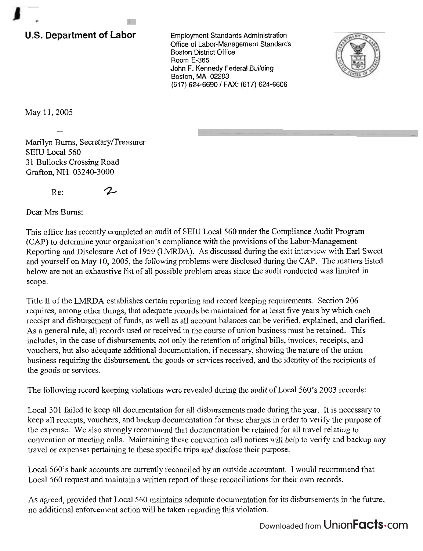## **U.S. Department of Labor**

Employment Standards Administration Office of Labor-Management Standards Boston District Office Room E-365 John F. Kennedy Federal Building Boston, MA 02203 **(61** 7) 624-6690 1 FAX: **(61** 7) 624-6606



May 11, 2005

Marilyn Burns, Secretary/Treasurer SEIU Local 560 31 Bullocks Crossing Road Grafton, **NH** 03240-3000

--

 $Re: 2$ 

Dear Mrs Bums:

This office has recently completed an audit of SEW Local 560 under the Compliance Audit Program (CAP) to determine your organization's compliance with the provisions of the Labor-Management Reporting and Disclosure Act of 1959 (LMRDA). As discussed during the exit interview with Earl Sweet and yourself on May 10, 2005, the following problems were disclosed during the CAP. The matters listed below are not an exhaustive list of all possible problem areas since the audit conducted was limited in scope.

Title II of the LMRDA establishes certain reporting and record keeping requirements. Section 206 requires, among other things, that adequate records be maintained for at least five years by which each receipt and disbursement of funds, as well as all account balances can be verified, explained, and clarified. As a general rule, all records used or received in the course of union business must be retained. This includes, in the case of disbursements, not only the retention of original bills, invoices, receipts, and vouchers, but also adequate additional documentation, if necessary, showing the nature of the union business requiring the disbursement, the goods or services received, and the identity of the recipients of the goods or services.

The following record keeping violations were revealed during the audit of Local 560's 2003 records:

Local 301 failed to keep all documentation for all disbursements made during the year. It is necessary to keep all receipts, vouchers, and backup documentation for these charges in order to verify the purpose of the expense. We also strongly recommend that documentation be retained for all travel relating to convention or meeting calls. Maintaining these convention call notices will help to verify and backup any travel or expenses pertaining to these specific trips and disclose their purpose.

Local 560's bank accounts are currently reconciled by an outside accountant. I would recommend that Local 560 request and maintain a written report of these reconciliations for their own records.

As agreed, provided that Local 560 maintains adequate documentation for its disbursements in the future, no additional enforcement action will be taken regarding this violation.